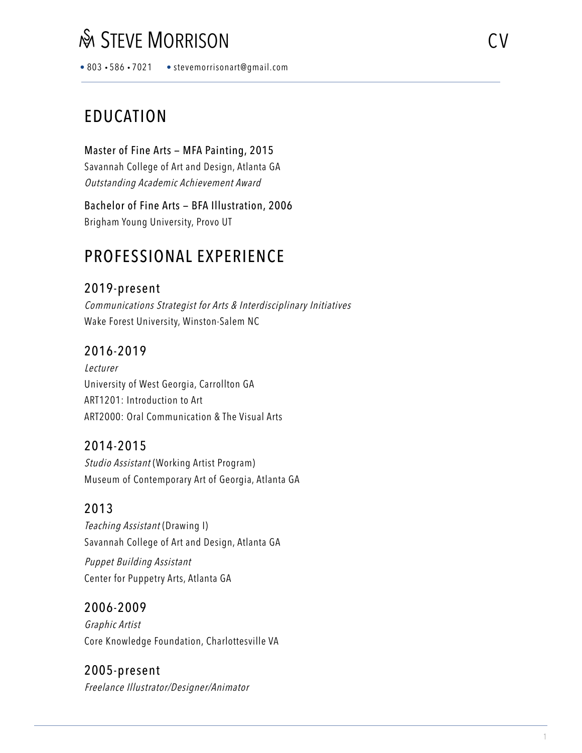• 803 • 586 • 7021 • stevemorrisonart@gmail.com

# EDUCATION

Master of Fine Arts — MFA Painting, 2015 Savannah College of Art and Design, Atlanta GA Outstanding Academic Achievement Award

Bachelor of Fine Arts — BFA Illustration, 2006 Brigham Young University, Provo UT

# PROFESSIONAL EXPERIENCE

## 2019-present

Communications Strategist for Arts & Interdisciplinary Initiatives Wake Forest University, Winston-Salem NC

## 2016-2019

Lecturer University of West Georgia, Carrollton GA ART1201: Introduction to Art ART2000: Oral Communication & The Visual Arts

## 2014-2015

Studio Assistant (Working Artist Program) Museum of Contemporary Art of Georgia, Atlanta GA

## 2013

Teaching Assistant (Drawing I) Savannah College of Art and Design, Atlanta GA

Puppet Building Assistant Center for Puppetry Arts, Atlanta GA

### 2006-2009

Graphic Artist Core Knowledge Foundation, Charlottesville VA

#### 2005-present Freelance Illustrator/Designer/Animator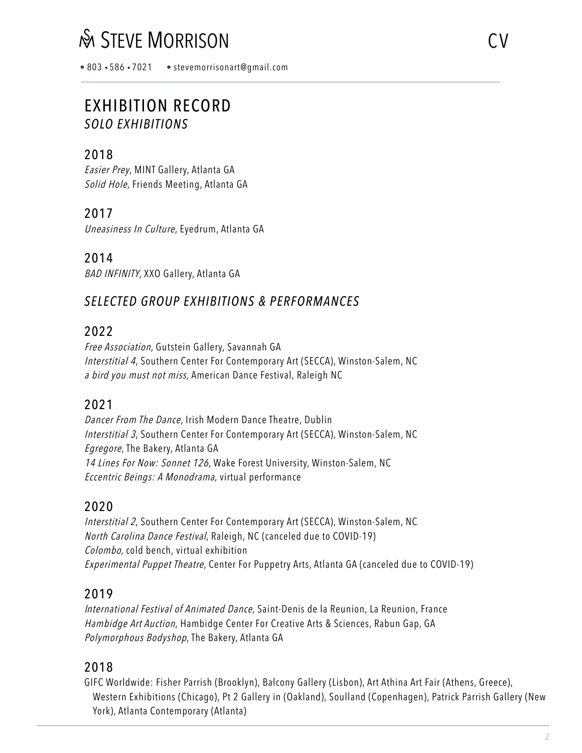# **SEXEMPT MORRISON** CV

• 803 • 586 • 7021 • stevemorrisonart@gmail.com

## EXHIBITION RECORD *SOLO EXHIBITIONS*

## 2018

Easier Prey, MINT Gallery, Atlanta GA Solid Hole, Friends Meeting, Atlanta GA

## 2017

Uneasiness In Culture, Eyedrum, Atlanta GA

2014

BAD INFINITY, XXO Gallery, Atlanta GA

## *SELECTED GROUP EXHIBITIONS & PERFORMANCES*

### 2022

Free Association, Gutstein Gallery, Savannah GA Interstitial 4, Southern Center For Contemporary Art (SECCA), Winston-Salem, NC a bird you must not miss, American Dance Festival, Raleigh NC

## 2021

Dancer From The Dance, Irish Modern Dance Theatre, Dublin Interstitial 3, Southern Center For Contemporary Art (SECCA), Winston-Salem, NC Egregore, The Bakery, Atlanta GA 14 Lines For Now: Sonnet 126, Wake Forest University, Winston-Salem, NC Eccentric Beings: A Monodrama, virtual performance

## 2020

Interstitial 2, Southern Center For Contemporary Art (SECCA), Winston-Salem, NC North Carolina Dance Festival, Raleigh, NC (canceled due to COVID-19) Colombo, cold bench, virtual exhibition Experimental Puppet Theatre, Center For Puppetry Arts, Atlanta GA (canceled due to COVID-19)

### 2019

International Festival of Animated Dance, Saint-Denis de la Reunion, La Reunion, France Hambidge Art Auction, Hambidge Center For Creative Arts & Sciences, Rabun Gap, GA Polymorphous Bodyshop, The Bakery, Atlanta GA

### 2018

GIFC Worldwide: Fisher Parrish (Brooklyn), Balcony Gallery (Lisbon), Art Athina Art Fair (Athens, Greece), Western Exhibitions (Chicago), Pt 2 Gallery in (Oakland), Soulland (Copenhagen), Patrick Parrish Gallery (New York), Atlanta Contemporary (Atlanta)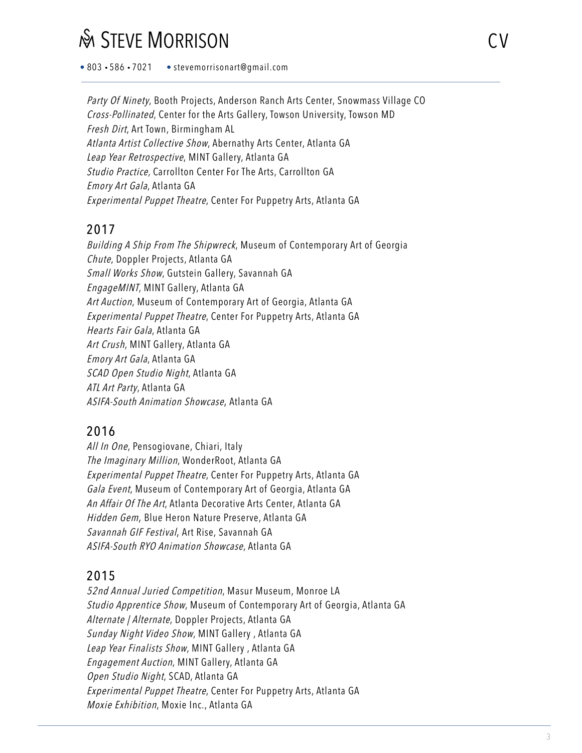• 803 • 586 • 7021 • stevemorrisonart@gmail.com

Party Of Ninety, Booth Projects, Anderson Ranch Arts Center, Snowmass Village CO Cross-Pollinated, Center for the Arts Gallery, Towson University, Towson MD Fresh Dirt, Art Town, Birmingham AL Atlanta Artist Collective Show, Abernathy Arts Center, Atlanta GA Leap Year Retrospective, MINT Gallery, Atlanta GA Studio Practice, Carrollton Center For The Arts, Carrollton GA Emory Art Gala, Atlanta GA Experimental Puppet Theatre, Center For Puppetry Arts, Atlanta GA

## 2017

Building A Ship From The Shipwreck, Museum of Contemporary Art of Georgia Chute, Doppler Projects, Atlanta GA Small Works Show, Gutstein Gallery, Savannah GA EngageMINT, MINT Gallery, Atlanta GA Art Auction, Museum of Contemporary Art of Georgia, Atlanta GA Experimental Puppet Theatre, Center For Puppetry Arts, Atlanta GA Hearts Fair Gala, Atlanta GA Art Crush, MINT Gallery, Atlanta GA Emory Art Gala, Atlanta GA SCAD Open Studio Night, Atlanta GA ATL Art Party, Atlanta GA ASIFA-South Animation Showcase, Atlanta GA

## 2016

All In One, Pensogiovane, Chiari, Italy The Imaginary Million, WonderRoot, Atlanta GA Experimental Puppet Theatre, Center For Puppetry Arts, Atlanta GA Gala Event, Museum of Contemporary Art of Georgia, Atlanta GA An Affair Of The Art, Atlanta Decorative Arts Center, Atlanta GA Hidden Gem, Blue Heron Nature Preserve, Atlanta GA Savannah GIF Festival, Art Rise, Savannah GA ASIFA-South RYO Animation Showcase, Atlanta GA

## 2015

52nd Annual Juried Competition, Masur Museum, Monroe LA Studio Apprentice Show, Museum of Contemporary Art of Georgia, Atlanta GA Alternate / Alternate, Doppler Projects, Atlanta GA Sunday Night Video Show, MINT Gallery , Atlanta GA Leap Year Finalists Show, MINT Gallery, Atlanta GA Engagement Auction, MINT Gallery, Atlanta GA Open Studio Night, SCAD, Atlanta GA Experimental Puppet Theatre, Center For Puppetry Arts, Atlanta GA Moxie Exhibition, Moxie Inc., Atlanta GA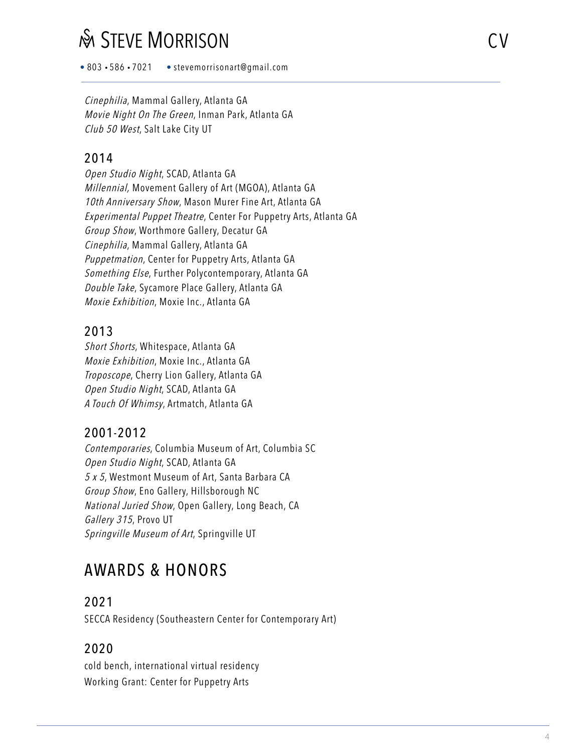• 803 • 586 • 7021 • stevemorrisonart@gmail.com

Cinephilia, Mammal Gallery, Atlanta GA Movie Night On The Green, Inman Park, Atlanta GA Club 50 West, Salt Lake City UT

### 2014

Open Studio Night, SCAD, Atlanta GA Millennial, Movement Gallery of Art (MGOA), Atlanta GA 10th Anniversary Show, Mason Murer Fine Art, Atlanta GA Experimental Puppet Theatre, Center For Puppetry Arts, Atlanta GA Group Show, Worthmore Gallery, Decatur GA Cinephilia, Mammal Gallery, Atlanta GA Puppetmation, Center for Puppetry Arts, Atlanta GA Something Else, Further Polycontemporary, Atlanta GA Double Take, Sycamore Place Gallery, Atlanta GA Moxie Exhibition, Moxie Inc., Atlanta GA

## 2013

Short Shorts, Whitespace, Atlanta GA Moxie Exhibition, Moxie Inc., Atlanta GA Troposcope, Cherry Lion Gallery, Atlanta GA Open Studio Night, SCAD, Atlanta GA A Touch Of Whimsy, Artmatch, Atlanta GA

## 2001-2012

Contemporaries, Columbia Museum of Art, Columbia SC Open Studio Night, SCAD, Atlanta GA 5 x 5, Westmont Museum of Art, Santa Barbara CA Group Show, Eno Gallery, Hillsborough NC National Juried Show, Open Gallery, Long Beach, CA Gallery 315, Provo UT Springville Museum of Art, Springville UT

# AWARDS & HONORS

#### 2021

SECCA Residency (Southeastern Center for Contemporary Art)

## 2020

cold bench, international virtual residency Working Grant: Center for Puppetry Arts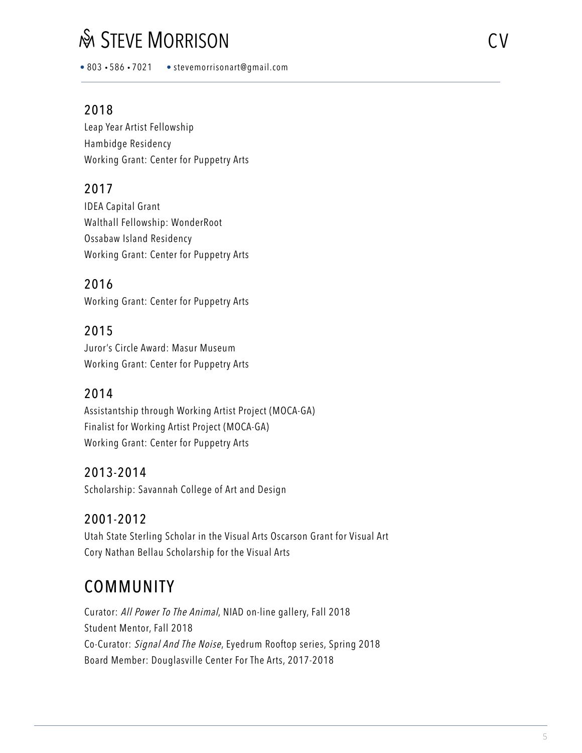• 803 • 586 • 7021 • stevemorrisonart@gmail.com

#### 2018

Leap Year Artist Fellowship Hambidge Residency Working Grant: Center for Puppetry Arts

## 2017

IDEA Capital Grant Walthall Fellowship: WonderRoot Ossabaw Island Residency Working Grant: Center for Puppetry Arts

### 2016

Working Grant: Center for Puppetry Arts

### 2015

Juror's Circle Award: Masur Museum Working Grant: Center for Puppetry Arts

#### 2014

Assistantship through Working Artist Project (MOCA-GA) Finalist for Working Artist Project (MOCA-GA) Working Grant: Center for Puppetry Arts

#### 2013-2014

Scholarship: Savannah College of Art and Design

#### 2001-2012

Utah State Sterling Scholar in the Visual Arts Oscarson Grant for Visual Art Cory Nathan Bellau Scholarship for the Visual Arts

# **COMMUNITY**

Curator: All Power To The Animal, NIAD on-line gallery, Fall 2018 Student Mentor, Fall 2018 Co-Curator: Signal And The Noise, Eyedrum Rooftop series, Spring 2018 Board Member: Douglasville Center For The Arts, 2017-2018